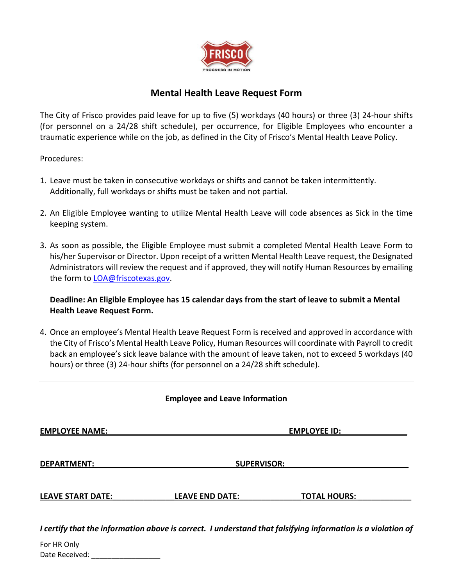

## **Mental Health Leave Request Form**

The City of Frisco provides paid leave for up to five (5) workdays (40 hours) or three (3) 24-hour shifts (for personnel on a 24/28 shift schedule), per occurrence, for Eligible Employees who encounter a traumatic experience while on the job, as defined in the City of Frisco's Mental Health Leave Policy.

Procedures:

- 1. Leave must be taken in consecutive workdays or shifts and cannot be taken intermittently. Additionally, full workdays or shifts must be taken and not partial.
- 2. An Eligible Employee wanting to utilize Mental Health Leave will code absences as Sick in the time keeping system.
- 3. As soon as possible, the Eligible Employee must submit a completed Mental Health Leave Form to his/her Supervisor or Director. Upon receipt of a written Mental Health Leave request, the Designated Administrators will review the request and if approved, they will notify Human Resources by emailing the form to [LOA@friscotexas.gov.](mailto:LOA@friscotexas.gov)

**Deadline: An Eligible Employee has 15 calendar days from the start of leave to submit a Mental Health Leave Request Form.**

4. Once an employee's Mental Health Leave Request Form is received and approved in accordance with the City of Frisco's Mental Health Leave Policy, Human Resources will coordinate with Payroll to credit back an employee's sick leave balance with the amount of leave taken, not to exceed 5 workdays (40 hours) or three (3) 24-hour shifts (for personnel on a 24/28 shift schedule).

|  |  |  | <b>Employee and Leave Information</b> |
|--|--|--|---------------------------------------|
|--|--|--|---------------------------------------|

**EMPLOYEE NAME:** The contract of the contract of the contract of the contract of the contract of the contract of the contract of the contract of the contract of the contract of the contract of the contract of the contract

**DEPARTMENT:** SUPERVISOR:

**LEAVE START DATE:\_\_\_\_\_\_\_\_\_\_\_\_\_\_LEAVE END DATE:\_\_\_\_\_\_\_\_\_\_\_\_\_\_TOTAL HOURS: \_\_\_\_\_\_\_\_\_\_\_\_**

*I certify that the information above is correct. I understand that falsifying information is a violation of* 

For HR Only Date Received: \_\_\_